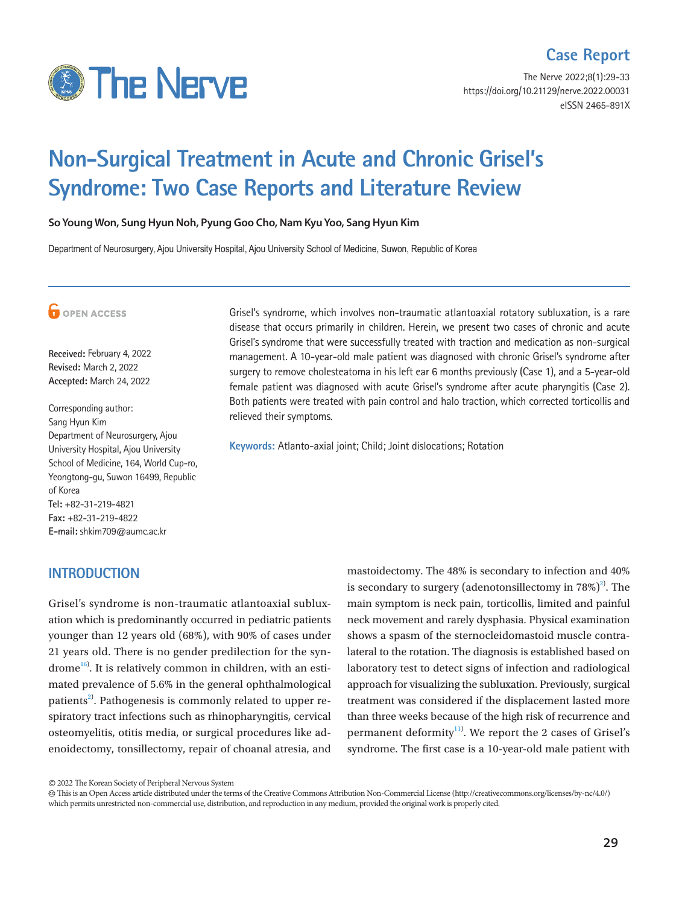

# **Case Report**

The Nerve 2022;8(1):29-33 https://doi.org/10.21129/nerve.2022.00031 eISSN 2465-891X

# **Non-Surgical Treatment in Acute and Chronic Grisel's Syndrome: Two Case Reports and Literature Review**

**So Young Won, Sung Hyun Noh, Pyung Goo Cho, Nam Kyu Yoo, Sang Hyun Kim**

Department of Neurosurgery, Ajou University Hospital, Ajou University School of Medicine, Suwon, Republic of Korea



**Received:** February 4, 2022 **Revised:** March 2, 2022 **Accepted:** March 24, 2022

Corresponding author: Sang Hyun Kim Department of Neurosurgery, Ajou University Hospital, Ajou University School of Medicine, 164, World Cup-ro, Yeongtong-gu, Suwon 16499, Republic of Korea **Tel:** +82-31-219-4821 **Fax:** +82-31-219-4822 **E-mail:** shkim709@aumc.ac.kr

## **INTRODUCTION**

Grisel's syndrome is non-traumatic atlantoaxial subluxation which is predominantly occurred in pediatric patients younger than 12 years old (68%), with 90% of cases under 21 years old. There is no gender predilection for the syn-drome<sup>[16](#page-4-0))</sup>. It is relatively common in children, with an estimated prevalence of 5.6% in the general ophthalmological patients<sup>2)</sup>. Pathogenesis is commonly related to upper respiratory tract infections such as rhinopharyngitis, cervical osteomyelitis, otitis media, or surgical procedures like adenoidectomy, tonsillectomy, repair of choanal atresia, and

disease that occurs primarily in children. Herein, we present two cases of chronic and acute Grisel's syndrome that were successfully treated with traction and medication as non-surgical management. A 10-year-old male patient was diagnosed with chronic Grisel's syndrome after surgery to remove cholesteatoma in his left ear 6 months previously (Case 1), and a 5-year-old female patient was diagnosed with acute Grisel's syndrome after acute pharyngitis (Case 2). Both patients were treated with pain control and halo traction, which corrected torticollis and relieved their symptoms.

Grisel's syndrome, which involves non-traumatic atlantoaxial rotatory subluxation, is a rare

**Keywords:** Atlanto-axial joint; Child; Joint dislocations; Rotation

mastoidectomy. The 48% is secondary to infection and 40% is secondary to surgery (adenotonsillectomy in  $78\%)^2$ ). The main symptom is neck pain, torticollis, limited and painful neck movement and rarely dysphasia. Physical examination shows a spasm of the sternocleidomastoid muscle contralateral to the rotation. The diagnosis is established based on laboratory test to detect signs of infection and radiological approach for visualizing the subluxation. Previously, surgical treatment was considered if the displacement lasted more than three weeks because of the high risk of recurrence and permanent deformity<sup>[11](#page-4-1))</sup>. We report the 2 cases of Grisel's syndrome. The first case is a 10-year-old male patient with

<sup>©</sup> 2022 The Korean Society of Peripheral Nervous System

This is an Open Access article distributed under the terms of the Creative Commons Attribution Non-Commercial License (http://creativecommons.org/licenses/by-nc/4.0/) which permits unrestricted non-commercial use, distribution, and reproduction in any medium, provided the original work is properly cited.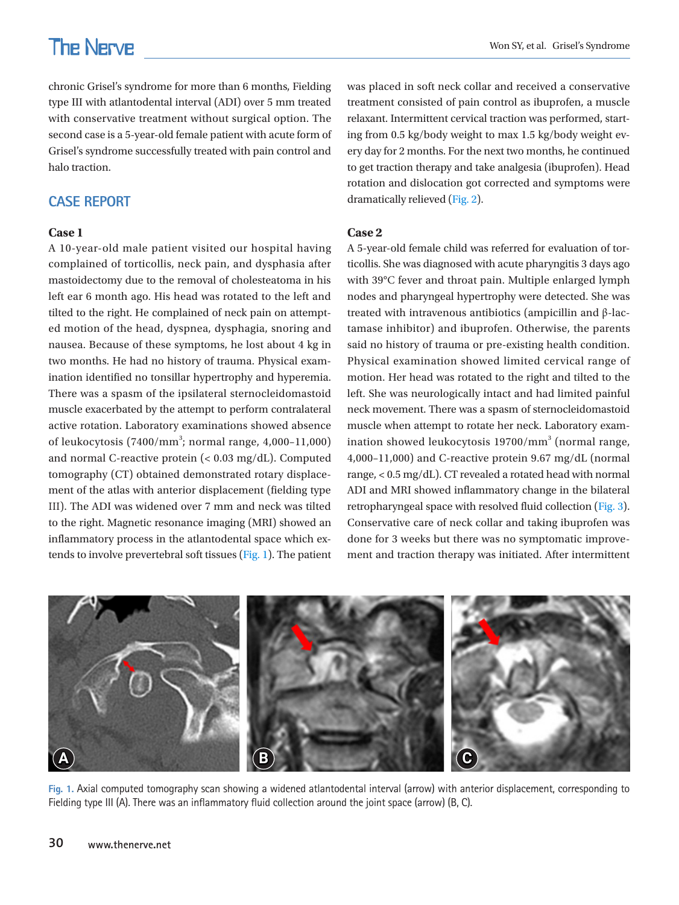# **The Nerve**

chronic Grisel's syndrome for more than 6 months, Fielding type III with atlantodental interval (ADI) over 5 mm treated with conservative treatment without surgical option. The second case is a 5-year-old female patient with acute form of Grisel's syndrome successfully treated with pain control and halo traction.

# **CASE REPORT**

#### **Case 1**

A 10-year-old male patient visited our hospital having complained of torticollis, neck pain, and dysphasia after mastoidectomy due to the removal of cholesteatoma in his left ear 6 month ago. His head was rotated to the left and tilted to the right. He complained of neck pain on attempted motion of the head, dyspnea, dysphagia, snoring and nausea. Because of these symptoms, he lost about 4 kg in two months. He had no history of trauma. Physical examination identified no tonsillar hypertrophy and hyperemia. There was a spasm of the ipsilateral sternocleidomastoid muscle exacerbated by the attempt to perform contralateral active rotation. Laboratory examinations showed absence of leukocytosis (7400/mm<sup>3</sup>; normal range, 4,000-11,000) and normal C-reactive protein (< 0.03 mg/dL). Computed tomography (CT) obtained demonstrated rotary displacement of the atlas with anterior displacement (fielding type III). The ADI was widened over 7 mm and neck was tilted to the right. Magnetic resonance imaging (MRI) showed an inflammatory process in the atlantodental space which extends to involve prevertebral soft tissues [\(Fig. 1](#page-1-0)). The patient

was placed in soft neck collar and received a conservative treatment consisted of pain control as ibuprofen, a muscle relaxant. Intermittent cervical traction was performed, starting from 0.5 kg/body weight to max 1.5 kg/body weight every day for 2 months. For the next two months, he continued to get traction therapy and take analgesia (ibuprofen). Head rotation and dislocation got corrected and symptoms were dramatically relieved [\(Fig. 2](#page-2-0)).

#### **Case 2**

A 5-year-old female child was referred for evaluation of torticollis. She was diagnosed with acute pharyngitis 3 days ago with 39°C fever and throat pain. Multiple enlarged lymph nodes and pharyngeal hypertrophy were detected. She was treated with intravenous antibiotics (ampicillin and β-lactamase inhibitor) and ibuprofen. Otherwise, the parents said no history of trauma or pre-existing health condition. Physical examination showed limited cervical range of motion. Her head was rotated to the right and tilted to the left. She was neurologically intact and had limited painful neck movement. There was a spasm of sternocleidomastoid muscle when attempt to rotate her neck. Laboratory examination showed leukocytosis 19700/mm<sup>3</sup> (normal range, 4,000–11,000) and C-reactive protein 9.67 mg/dL (normal range, < 0.5 mg/dL). CT revealed a rotated head with normal ADI and MRI showed inflammatory change in the bilateral retropharyngeal space with resolved fluid collection [\(Fig. 3\)](#page-2-1). Conservative care of neck collar and taking ibuprofen was done for 3 weeks but there was no symptomatic improvement and traction therapy was initiated. After intermittent

<span id="page-1-0"></span>

**Fig. 1.** Axial computed tomography scan showing a widened atlantodental interval (arrow) with anterior displacement, corresponding to Fielding type III (A). There was an inflammatory fluid collection around the joint space (arrow) (B, C).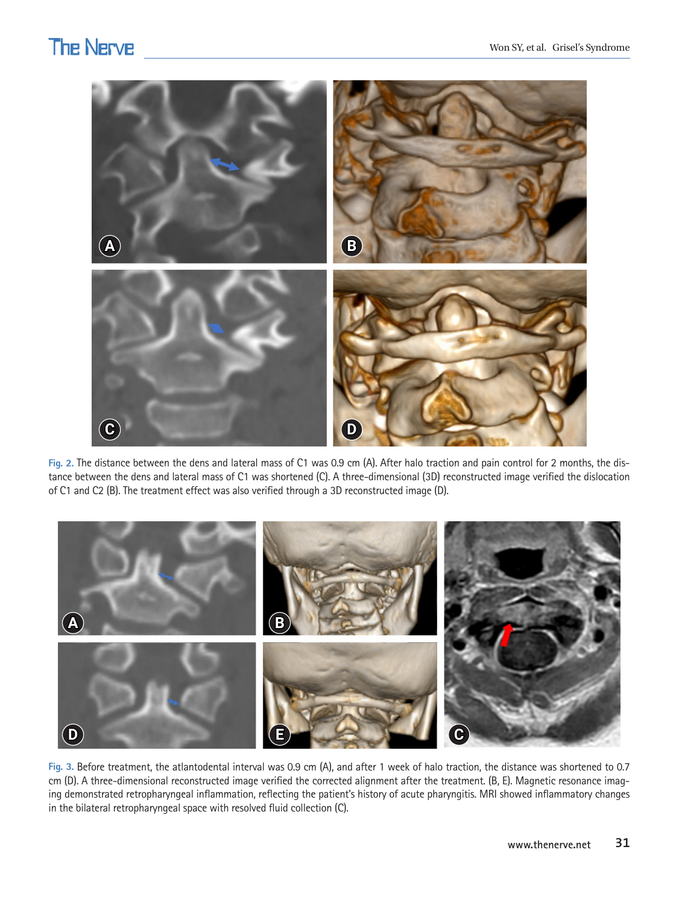# **The Nerve**

<span id="page-2-0"></span>

**Fig. 2.** The distance between the dens and lateral mass of C1 was 0.9 cm (A). After halo traction and pain control for 2 months, the distance between the dens and lateral mass of C1 was shortened (C). A three-dimensional (3D) reconstructed image verified the dislocation of C1 and C2 (B). The treatment effect was also verified through a 3D reconstructed image (D).

<span id="page-2-1"></span>

**Fig. 3.** Before treatment, the atlantodental interval was 0.9 cm (A), and after 1 week of halo traction, the distance was shortened to 0.7 cm (D). A three-dimensional reconstructed image verified the corrected alignment after the treatment. (B, E). Magnetic resonance imaging demonstrated retropharyngeal inflammation, reflecting the patient's history of acute pharyngitis. MRI showed inflammatory changes in the bilateral retropharyngeal space with resolved fluid collection (C).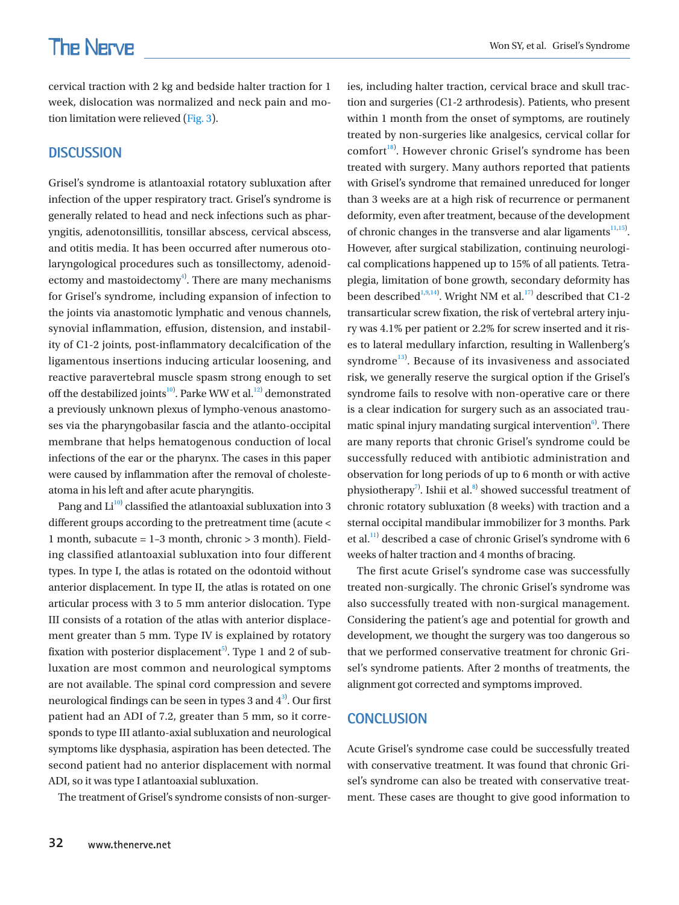cervical traction with 2 kg and bedside halter traction for 1 week, dislocation was normalized and neck pain and motion limitation were relieved [\(Fig. 3\)](#page-2-1).

### **DISCUSSION**

Grisel's syndrome is atlantoaxial rotatory subluxation after infection of the upper respiratory tract. Grisel's syndrome is generally related to head and neck infections such as pharyngitis, adenotonsillitis, tonsillar abscess, cervical abscess, and otitis media. It has been occurred after numerous otolaryngological procedures such as tonsillectomy, adenoidectomy and mastoidectomy $4^9$ . There are many mechanisms for Grisel's syndrome, including expansion of infection to the joints via anastomotic lymphatic and venous channels, synovial inflammation, effusion, distension, and instability of C1-2 joints, post-inflammatory decalcification of the ligamentous insertions inducing articular loosening, and reactive paravertebral muscle spasm strong enough to set off the destabilized joints<sup>10</sup>. Parke WW et al.<sup>[12](#page-4-4)</sup> demonstrated a previously unknown plexus of lympho-venous anastomoses via the pharyngobasilar fascia and the atlanto-occipital membrane that helps hematogenous conduction of local infections of the ear or the pharynx. The cases in this paper were caused by inflammation after the removal of cholesteatoma in his left and after acute pharyngitis.

Pang and  $Li^{10}$  classified the atlantoaxial subluxation into 3 different groups according to the pretreatment time (acute < 1 month, subacute = 1–3 month, chronic > 3 month). Fielding classified atlantoaxial subluxation into four different types. In type I, the atlas is rotated on the odontoid without anterior displacement. In type II, the atlas is rotated on one articular process with 3 to 5 mm anterior dislocation. Type III consists of a rotation of the atlas with anterior displacement greater than 5 mm. Type IV is explained by rotatory fixation with posterior displacement $^{5)}$ . Type 1 and 2 of subluxation are most common and neurological symptoms are not available. The spinal cord compression and severe neurological findings can be seen in types 3 and  $4^{3}$ . Our first patient had an ADI of 7.2, greater than 5 mm, so it corresponds to type III atlanto-axial subluxation and neurological symptoms like dysphasia, aspiration has been detected. The second patient had no anterior displacement with normal ADI, so it was type I atlantoaxial subluxation.

The treatment of Grisel's syndrome consists of non-surger-

tion and surgeries (C1-2 arthrodesis). Patients, who present within 1 month from the onset of symptoms, are routinely treated by non-surgeries like analgesics, cervical collar for comfort<sup>[18](#page-4-7))</sup>. However chronic Grisel's syndrome has been treated with surgery. Many authors reported that patients with Grisel's syndrome that remained unreduced for longer than 3 weeks are at a high risk of recurrence or permanent deformity, even after treatment, because of the development of chronic changes in the transverse and alar ligaments $11,15$  $11,15$  $11,15$ . However, after surgical stabilization, continuing neurological complications happened up to 15% of all patients. Tetraplegia, limitation of bone growth, secondary deformity has been described<sup>1[,9](#page-4-10),[14](#page-4-11)</sup>). Wright NM et al.<sup>17</sup> described that C1-2 transarticular screw fixation, the risk of vertebral artery injury was 4.1% per patient or 2.2% for screw inserted and it rises to lateral medullary infarction, resulting in Wallenberg's syndrome<sup>[13\)](#page-4-13)</sup>. Because of its invasiveness and associated risk, we generally reserve the surgical option if the Grisel's syndrome fails to resolve with non-operative care or there is a clear indication for surgery such as an associated traumatic spinal injury mandating surgical intervention $6$ . There are many reports that chronic Grisel's syndrome could be successfully reduced with antibiotic administration and observation for long periods of up to 6 month or with active physiotherapy<sup>7</sup>. Ishii et al.<sup>8)</sup> showed successful treatment of chronic rotatory subluxation (8 weeks) with traction and a sternal occipital mandibular immobilizer for 3 months. Park et al.<sup>[11](#page-4-1)</sup> described a case of chronic Grisel's syndrome with 6 weeks of halter traction and 4 months of bracing.

ies, including halter traction, cervical brace and skull trac-

The first acute Grisel's syndrome case was successfully treated non-surgically. The chronic Grisel's syndrome was also successfully treated with non-surgical management. Considering the patient's age and potential for growth and development, we thought the surgery was too dangerous so that we performed conservative treatment for chronic Grisel's syndrome patients. After 2 months of treatments, the alignment got corrected and symptoms improved.

### **CONCLUSION**

Acute Grisel's syndrome case could be successfully treated with conservative treatment. It was found that chronic Grisel's syndrome can also be treated with conservative treatment. These cases are thought to give good information to